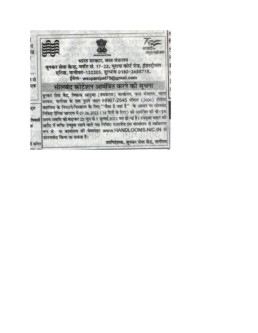